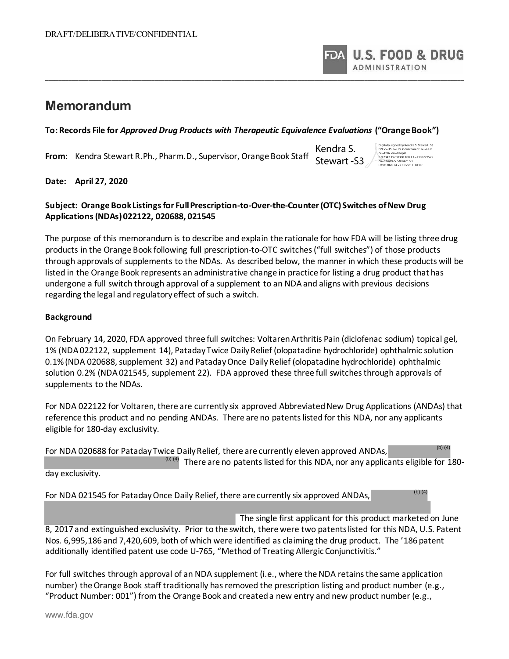**U.S. FOOD & DRUG ADMINISTRATION** 

# **Memorandum**

#### **To: Records File for** *Approved Drug Products with Therapeutic Equivalence Evaluations* **("Orange Book")**

\_\_\_\_\_\_\_\_\_\_\_\_\_\_\_\_\_\_\_\_\_\_\_\_\_\_\_\_\_\_\_\_\_\_\_\_\_\_\_\_\_\_\_\_\_\_\_\_\_\_\_\_\_\_\_\_\_\_\_\_\_\_\_\_\_\_\_\_\_\_\_\_\_\_\_\_\_\_\_\_\_\_\_\_\_\_\_\_\_\_\_\_\_\_\_\_\_\_\_\_\_\_\_\_\_\_\_\_\_\_\_\_\_\_\_\_\_\_\_\_\_\_\_\_\_\_

**From**: Kendra Stewart R.Ph., Pharm.D., Supervisor, Orange Book Staff

Kendra S. Stewart -S3

Digitally signed by Kendra S Stewart S3 DN: c=US o=U S Government ou=HHS ou=FDA ou=People 0 9 2342 19200300 100 1 1=1300222579 cn=Kendra S Stewart S3 Date: 2020 04 27 10:29:11 04'00'

(b) (4)

**Date: April 27, 2020** 

## **Subject: Orange Book Listings for Full Prescription-to-Over-the-Counter (OTC) Switches of New Drug Applications (NDAs) 022122, 020688, 021545**

The purpose of this memorandum is to describe and explain the rationale for how FDA will be listing three drug products in the Orange Book following full prescription-to-OTC switches ("full switches") of those products through approvals of supplements to the NDAs. As described below, the manner in which these products will be listed in the Orange Book represents an administrative change in practice for listing a drug product that has undergone a full switch through approval of a supplement to an NDA and aligns with previous decisions regarding the legal and regulatory effect of such a switch.

### **Background**

On February 14, 2020, FDA approved three full switches: Voltaren Arthritis Pain (diclofenac sodium) topical gel, 1% (NDA 022122, supplement 14), Pataday Twice Daily Relief (olopatadine hydrochloride) ophthalmic solution 0.1% (NDA 020688, supplement 32) and Pataday Once Daily Relief (olopatadine hydrochloride) ophthalmic solution 0.2% (NDA 021545, supplement 22). FDA approved these three full switches through approvals of supplements to the NDAs.

For NDA 022122 for Voltaren, there are currently six approved Abbreviated New Drug Applications (ANDAs) that reference this product and no pending ANDAs. There are no patents listed for this NDA, nor any applicants eligible for 180-day exclusivity.

|                  | For NDA 020688 for Pataday Twice Daily Relief, there are currently eleven approved ANDAs,        | (b) $(4)$ |
|------------------|--------------------------------------------------------------------------------------------------|-----------|
|                  | <sup>(b)(4)</sup> There are no patents listed for this NDA, nor any applicants eligible for 180- |           |
| day exclusivity. |                                                                                                  |           |

For NDA 021545 for Pataday Once Daily Relief, there are currently six approved ANDAs,

 The single first applicant for this product marketed on June 8, 2017 and extinguished exclusivity. Prior to the switch, there were two patents listed for this NDA, U.S. Patent Nos. 6,995,186 and 7,420,609, both of which were identified as claiming the drug product. The '186 patent additionally identified patent use code U-765, "Method of Treating Allergic Conjunctivitis."

For full switches through approval of an NDA supplement (i.e., where the NDA retains the same application number) the Orange Book staff traditionally has removed the prescription listing and product number (e.g., "Product Number: 001") from the Orange Book and created a new entry and new product number (e.g.,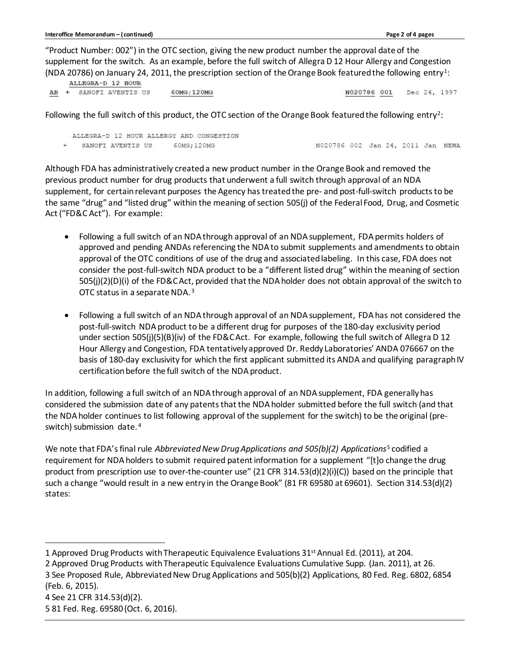"Product Number: 002") in the OTC section, giving the new product number the approval date of the supplement for the switch. As an example, before the full switch of Allegra D 12 Hour Allergy and Congestion (NDA 20786) on January 24, 2011, the prescription section of the Orange Book featured the following entry<sup>1</sup>:<br>
MILECRA-D 13, FOUR

|  | ALLEGAA D IZ HOOR      |            |                          |
|--|------------------------|------------|--------------------------|
|  | AB + SANOFI AVENTIS US | 60MG:120MG | N020786 001 Dec 24, 1997 |

Following the full switch of this product, the OTC section of the Orange Book featured the following entry<sup>2</sup>:

| ALLEGRA-D 12 HOUR ALLERGY AND CONGESTION |            |                                   |  |  |  |
|------------------------------------------|------------|-----------------------------------|--|--|--|
| SANOFI AVENTIS US                        | 60MG:120MG | N020786 002 Jan 24, 2011 Jan NEWA |  |  |  |

Although FDA has administratively created a new product number in the Orange Book and removed the previous product number for drug products that underwent a full switch through approval of an NDA supplement, for certain relevant purposes the Agency has treated the pre- and post-full-switch products to be the same "drug" and "listed drug" within the meaning of section 505(j) of the Federal Food, Drug, and Cosmetic Act ("FD&C Act"). For example:

- Following a full switch of an NDA through approval of an NDA supplement, FDA permits holders of approved and pending ANDAs referencing the NDA to submit supplements and amendments to obtain approval of the OTC conditions of use of the drug and associated labeling. In this case, FDA does not consider the post-full-switch NDA product to be a "different listed drug" within the meaning of section 505(j)(2)(D)(i) of the FD&C Act, provided that the NDA holder does not obtain approval of the switch to OTC status in a separate NDA. <sup>3</sup>
- Following a full switch of an NDA through approval of an NDA supplement, FDA has not considered the post-full-switch NDA product to be a different drug for purposes of the 180-day exclusivity period under section 505(j)(5)(B)(iv) of the FD&C Act. For example, following the full switch of Allegra D 12 Hour Allergy and Congestion, FDA tentatively approved Dr. Reddy Laboratories' ANDA 076667 on the basis of 180-day exclusivity for which the first applicant submitted its ANDA and qualifying paragraph IV certification before the full switch of the NDA product.

In addition, following a full switch of an NDA through approval of an NDA supplement, FDA generally has considered the submission date of any patents that the NDA holder submitted before the full switch (and that the NDA holder continues to list following approval of the supplement for the switch) to be the original (preswitch) submission date. 4

We note that FDA's final rule *Abbreviated New Drug Applications and 505(b)(2) Applications*<sup>5</sup> codified a requirement for NDA holders to submit required patent information for a supplement "[t]o change the drug product from prescription use to over-the-counter use" (21 CFR 314.53(d)(2)(i)(C)) based on the principle that such a change "would result in a new entry in the Orange Book" (81 FR 69580 at 69601). Section 314.53(d)(2) states:

2 Approved Drug Products with Therapeutic Equivalence Evaluations Cumulative Supp. (Jan. 2011), at 26.

3 See Proposed Rule, Abbreviated New Drug Applications and 505(b)(2) Applications, 80 Fed. Reg. 6802, 6854 (Feb. 6, 2015).

4 See 21 CFR 314.53(d)(2). 5 81 Fed. Reg. 69580 (Oct. 6, 2016).

<sup>1</sup> Approved Drug Products with Therapeutic Equivalence Evaluations 31<sup>st</sup> Annual Ed. (2011), at 204.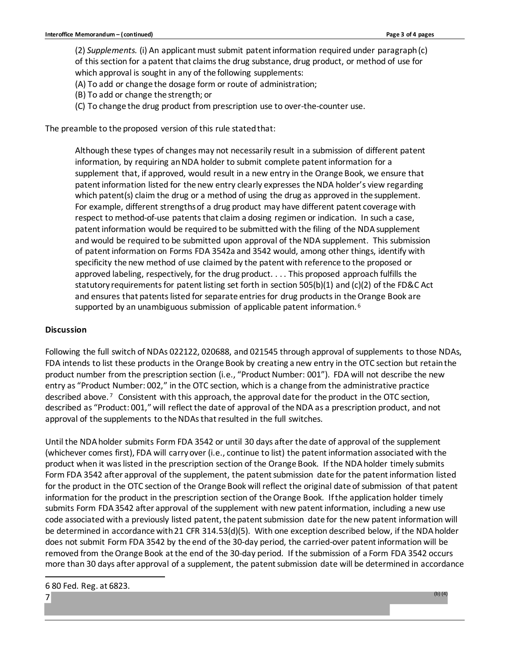(2) *Supplements.* (i) An applicant must submit patent information required under paragraph (c) of this section for a patent that claims the drug substance, drug product, or method of use for which approval is sought in any of the following supplements:

(A) To add or change the dosage form or route of administration;

- (B) To add or change the strength; or
- (C) To change the drug product from prescription use to over-the-counter use.

The preamble to the proposed version of this rule stated that:

Although these types of changes may not necessarily result in a submission of different patent information, by requiring an NDA holder to submit complete patent information for a supplement that, if approved, would result in a new entry in the Orange Book, we ensure that patent information listed for the new entry clearly expresses the NDA holder's view regarding which patent(s) claim the drug or a method of using the drug as approved in the supplement. For example, different strengths of a drug product may have different patent coverage with respect to method-of-use patents that claim a dosing regimen or indication. In such a case, patent information would be required to be submitted with the filing of the NDA supplement and would be required to be submitted upon approval of the NDA supplement. This submission of patent information on Forms FDA 3542a and 3542 would, among other things, identify with specificity the new method of use claimed by the patent with reference to the proposed or approved labeling, respectively, for the drug product. . . . This proposed approach fulfills the statutory requirements for patent listing set forth in section 505(b)(1) and (c)(2) of the FD&C Act and ensures that patents listed for separate entries for drug products in the Orange Book are supported by an unambiguous submission of applicable patent information. 6

#### **Discussion**

Following the full switch of NDAs 022122, 020688, and 021545 through approval of supplements to those NDAs, FDA intends to list these products in the Orange Book by creating a new entry in the OTC section but retain the product number from the prescription section (i.e., "Product Number: 001"). FDA will not describe the new entry as "Product Number: 002," in the OTC section, which is a change from the administrative practice described above. 7 Consistent with this approach, the approval date for the product in the OTC section, described as "Product: 001," will reflect the date of approval of the NDA as a prescription product, and not approval of the supplements to the NDAs that resulted in the full switches.

Until the NDA holder submits Form FDA 3542 or until 30 days after the date of approval of the supplement (whichever comes first), FDA will carry over (i.e., continue to list) the patent information associated with the product when it was listed in the prescription section of the Orange Book. If the NDA holder timely submits Form FDA 3542 after approval of the supplement, the patent submission date for the patent information listed for the product in the OTC section of the Orange Book will reflect the original date of submission of that patent information for the product in the prescription section of the Orange Book. If the application holder timely submits Form FDA 3542 after approval of the supplement with new patent information, including a new use code associated with a previously listed patent, the patent submission date for the new patent information will be determined in accordance with 21 CFR 314.53(d)(5). With one exception described below, if the NDA holder does not submit Form FDA 3542 by the end of the 30-day period, the carried-over patent information will be removed from the Orange Book at the end of the 30-day period. If the submission of a Form FDA 3542 occurs more than 30 days after approval of a supplement, the patent submission date will be determined in accordance

6 80 Fed. Reg. at 6823.